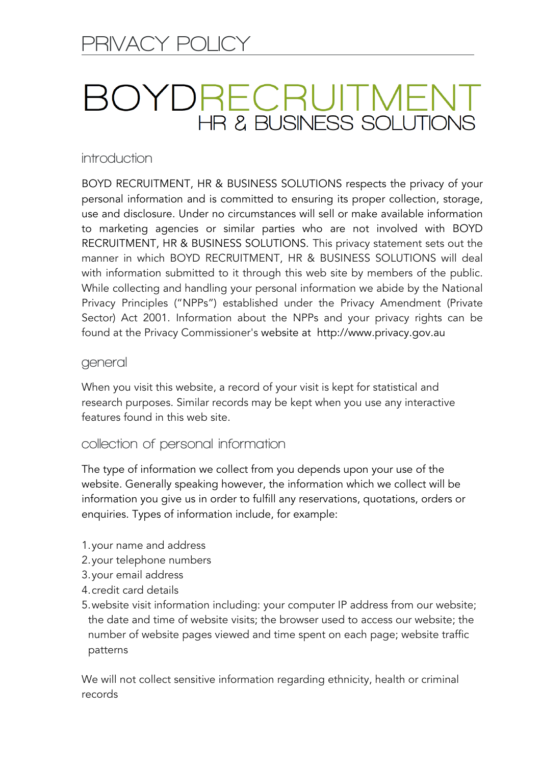# **3OYDRECRUITMEN** HR & BUSINESS SOLUTIONS

## **introduction**

BOYD RECRUITMENT, HR & BUSINESS SOLUTIONS respects the privacy of your personal information and is committed to ensuring its proper collection, storage, use and disclosure. Under no circumstances will sell or make available information to marketing agencies or similar parties who are not involved with BOYD RECRUITMENT, HR & BUSINESS SOLUTIONS. This privacy statement sets out the manner in which BOYD RECRUITMENT, HR & BUSINESS SOLUTIONS will deal with information submitted to it through this web site by members of the public. While collecting and handling your personal information we abide by the National Privacy Principles ("NPPs") established under the Privacy Amendment (Private Sector) Act 2001. Information about the NPPs and your privacy rights can be found at the Privacy Commissioner's website at http://www.privacy.gov.au

#### **general**

When you visit this website, a record of your visit is kept for statistical and research purposes. Similar records may be kept when you use any interactive features found in this web site.

#### **collection of personal information**

The type of information we collect from you depends upon your use of the website. Generally speaking however, the information which we collect will be information you give us in order to fulfill any reservations, quotations, orders or enquiries. Types of information include, for example:

- 1.your name and address
- 2.your telephone numbers
- 3.your email address
- 4.credit card details
- 5.website visit information including: your computer IP address from our website; the date and time of website visits; the browser used to access our website; the number of website pages viewed and time spent on each page; website traffic patterns

We will not collect sensitive information regarding ethnicity, health or criminal records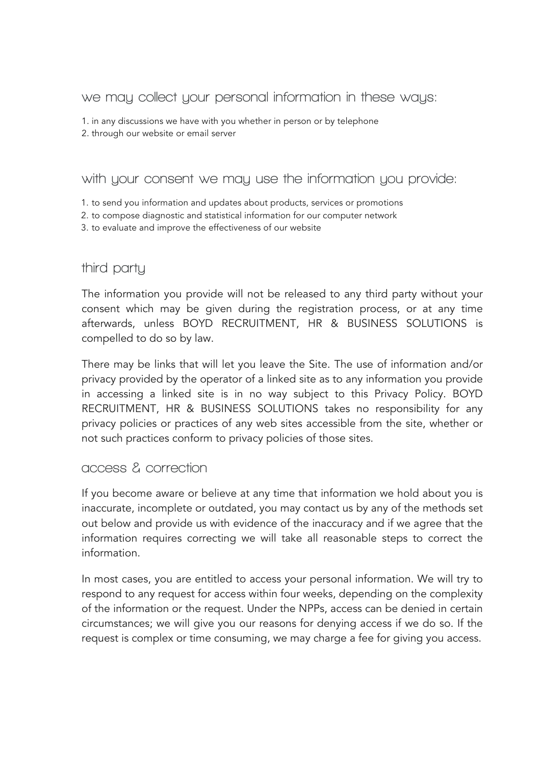## **we may collect your personal information in these ways:**

1. in any discussions we have with you whether in person or by telephone

2. through our website or email server

## **with your consent we may use the information you provide:**

- 1. to send you information and updates about products, services or promotions
- 2. to compose diagnostic and statistical information for our computer network
- 3. to evaluate and improve the effectiveness of our website

## **third party**

The information you provide will not be released to any third party without your consent which may be given during the registration process, or at any time afterwards, unless BOYD RECRUITMENT, HR & BUSINESS SOLUTIONS is compelled to do so by law.

There may be links that will let you leave the Site. The use of information and/or privacy provided by the operator of a linked site as to any information you provide in accessing a linked site is in no way subject to this Privacy Policy. BOYD RECRUITMENT, HR & BUSINESS SOLUTIONS takes no responsibility for any privacy policies or practices of any web sites accessible from the site, whether or not such practices conform to privacy policies of those sites.

## **access & correction**

If you become aware or believe at any time that information we hold about you is inaccurate, incomplete or outdated, you may contact us by any of the methods set out below and provide us with evidence of the inaccuracy and if we agree that the information requires correcting we will take all reasonable steps to correct the information.

In most cases, you are entitled to access your personal information. We will try to respond to any request for access within four weeks, depending on the complexity of the information or the request. Under the NPPs, access can be denied in certain circumstances; we will give you our reasons for denying access if we do so. If the request is complex or time consuming, we may charge a fee for giving you access.